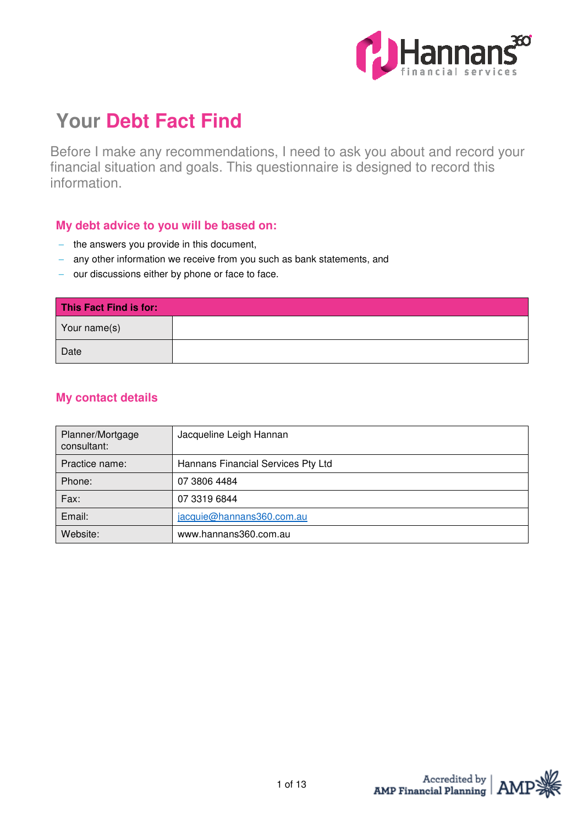

# **Your Debt Fact Find**

Before I make any recommendations, I need to ask you about and record your financial situation and goals. This questionnaire is designed to record this information.

## **My debt advice to you will be based on:**

- − the answers you provide in this document,
- − any other information we receive from you such as bank statements, and
- − our discussions either by phone or face to face.

| This Fact Find is for: |  |
|------------------------|--|
| Your name(s)           |  |
| Date                   |  |

# **My contact details**

| Planner/Mortgage<br>consultant: | Jacqueline Leigh Hannan            |
|---------------------------------|------------------------------------|
| Practice name:                  | Hannans Financial Services Pty Ltd |
| Phone:                          | 07 3806 4484                       |
| Fax:                            | 07 3319 6844                       |
| Email:                          | jacquie@hannans360.com.au          |
| Website:                        | www.hannans360.com.au              |

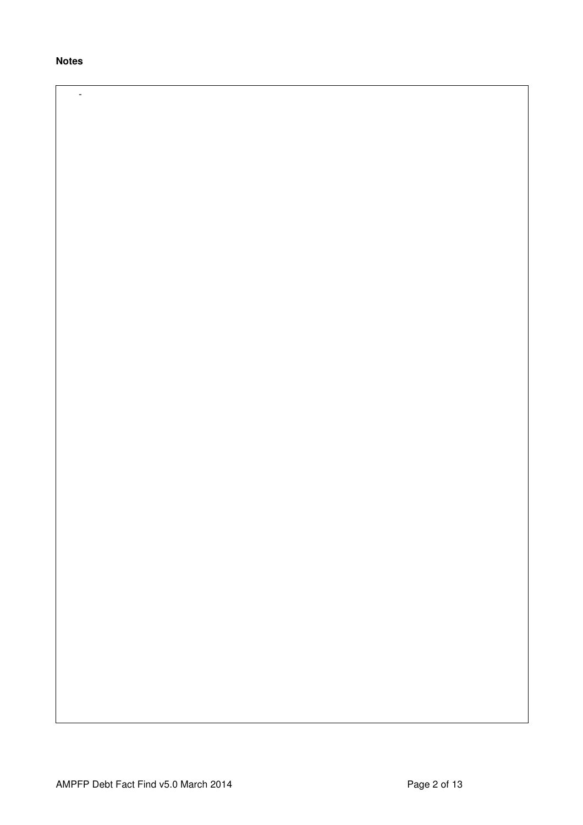**Notes** 

-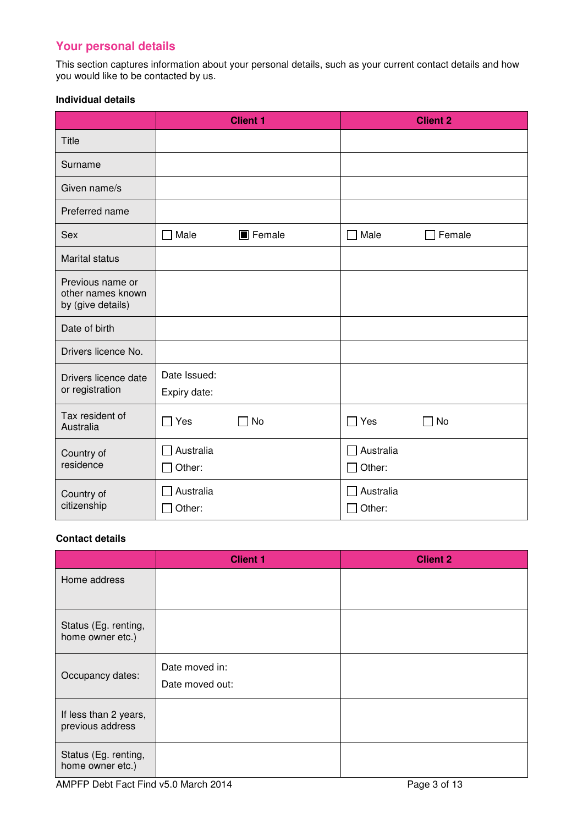# **Your personal details**

This section captures information about your personal details, such as your current contact details and how you would like to be contacted by us.

#### **Individual details**

|                                                            |                              | <b>Client 1</b> |                     | <b>Client 2</b> |
|------------------------------------------------------------|------------------------------|-----------------|---------------------|-----------------|
| <b>Title</b>                                               |                              |                 |                     |                 |
| Surname                                                    |                              |                 |                     |                 |
| Given name/s                                               |                              |                 |                     |                 |
| Preferred name                                             |                              |                 |                     |                 |
| Sex                                                        | Male                         | <b>T</b> Female | Male                | Female          |
| <b>Marital status</b>                                      |                              |                 |                     |                 |
| Previous name or<br>other names known<br>by (give details) |                              |                 |                     |                 |
| Date of birth                                              |                              |                 |                     |                 |
| Drivers licence No.                                        |                              |                 |                     |                 |
| Drivers licence date<br>or registration                    | Date Issued:<br>Expiry date: |                 |                     |                 |
| Tax resident of<br>Australia                               | $\Box$ Yes                   | No              | $\square$ Yes       | No              |
| Country of<br>residence                                    | Australia<br>Other:          |                 | Australia<br>Other: |                 |
| Country of<br>citizenship                                  | Australia<br>Other:          |                 | Australia<br>Other: |                 |

## **Contact details**

|                                           | <b>Client 1</b>                   | <b>Client 2</b> |
|-------------------------------------------|-----------------------------------|-----------------|
| Home address                              |                                   |                 |
| Status (Eg. renting,<br>home owner etc.)  |                                   |                 |
| Occupancy dates:                          | Date moved in:<br>Date moved out: |                 |
| If less than 2 years,<br>previous address |                                   |                 |
| Status (Eg. renting,<br>home owner etc.)  |                                   |                 |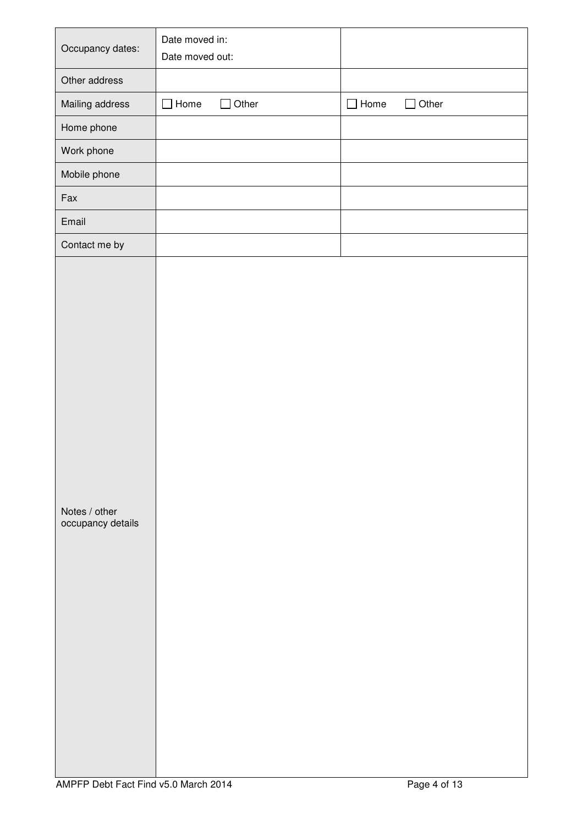| Occupancy dates:                   | Date moved in:<br>Date moved out: |              |             |              |
|------------------------------------|-----------------------------------|--------------|-------------|--------------|
| Other address                      |                                   |              |             |              |
| Mailing address                    | $\Box$ Home                       | $\Box$ Other | $\Box$ Home | $\Box$ Other |
| Home phone                         |                                   |              |             |              |
| Work phone                         |                                   |              |             |              |
| Mobile phone                       |                                   |              |             |              |
| Fax                                |                                   |              |             |              |
| Email                              |                                   |              |             |              |
| Contact me by                      |                                   |              |             |              |
| Notes / other<br>occupancy details |                                   |              |             |              |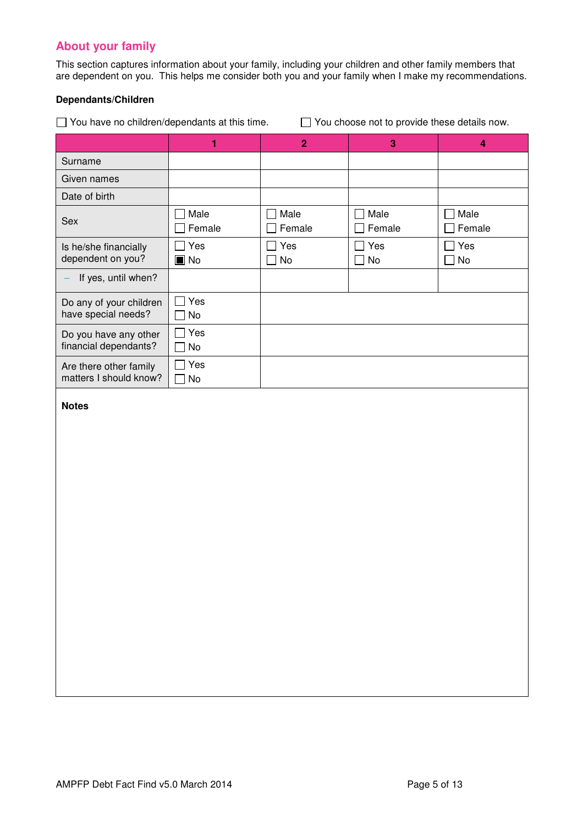# **About your family**

This section captures information about your family, including your children and other family members that are dependent on you. This helps me consider both you and your family when I make my recommendations.

#### **Dependants/Children**

 $\Box$  You have no children/dependants at this time.  $\Box$  You choose not to provide these details now.

|                                                  | 1                         | $\overline{2}$                 | 3              | 4                                          |
|--------------------------------------------------|---------------------------|--------------------------------|----------------|--------------------------------------------|
| Surname                                          |                           |                                |                |                                            |
| Given names                                      |                           |                                |                |                                            |
| Date of birth                                    |                           |                                |                |                                            |
| Sex                                              | Male<br>Female            | Male<br>$\mathbf{I}$<br>Female | Male<br>Female | Male<br>$\overline{\phantom{a}}$<br>Female |
| Is he/she financially<br>dependent on you?       | Yes<br>$\blacksquare$ No  | Yes<br>No                      | Yes<br>No      | Yes<br>No                                  |
| If yes, until when?                              |                           |                                |                |                                            |
| Do any of your children<br>have special needs?   | Yes<br>L<br>No            |                                |                |                                            |
| Do you have any other<br>financial dependants?   | Yes<br>No                 |                                |                |                                            |
| Are there other family<br>matters I should know? | Yes<br>No<br>$\mathbf{L}$ |                                |                |                                            |
| <b>Notes</b>                                     |                           |                                |                |                                            |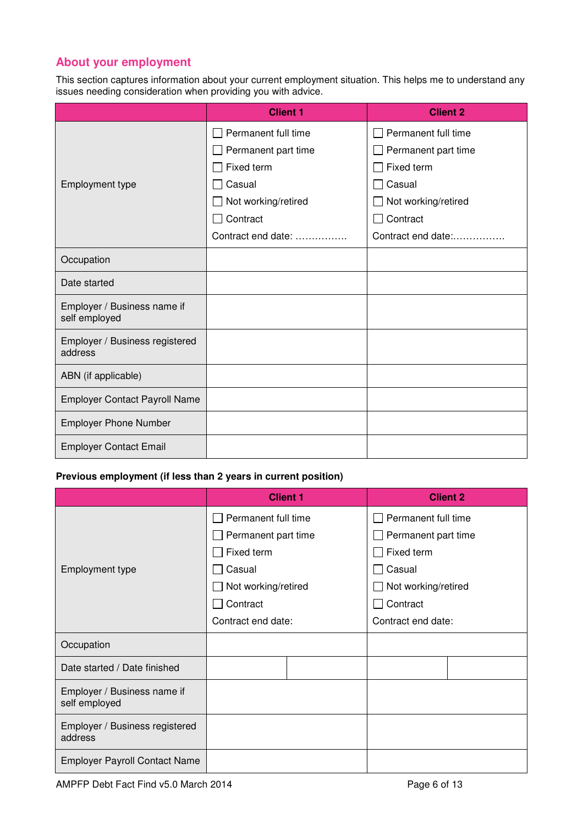# **About your employment**

This section captures information about your current employment situation. This helps me to understand any issues needing consideration when providing you with advice.

|                                              | <b>Client 1</b>     | <b>Client 2</b>     |
|----------------------------------------------|---------------------|---------------------|
|                                              | Permanent full time | Permanent full time |
|                                              | Permanent part time | Permanent part time |
|                                              | Fixed term          | Fixed term          |
| <b>Employment type</b>                       | Casual              | Casual              |
|                                              | Not working/retired | Not working/retired |
|                                              | Contract            | Contract            |
|                                              | Contract end date:  | Contract end date:  |
| Occupation                                   |                     |                     |
| Date started                                 |                     |                     |
| Employer / Business name if<br>self employed |                     |                     |
| Employer / Business registered<br>address    |                     |                     |
| ABN (if applicable)                          |                     |                     |
| <b>Employer Contact Payroll Name</b>         |                     |                     |
| <b>Employer Phone Number</b>                 |                     |                     |
| <b>Employer Contact Email</b>                |                     |                     |

#### **Previous employment (if less than 2 years in current position)**

|                                              | <b>Client 1</b>     | <b>Client 2</b>     |  |
|----------------------------------------------|---------------------|---------------------|--|
|                                              | Permanent full time | Permanent full time |  |
|                                              | Permanent part time | Permanent part time |  |
|                                              | Fixed term          | Fixed term          |  |
| Employment type                              | Casual              | Casual              |  |
|                                              | Not working/retired | Not working/retired |  |
|                                              | Contract            | Contract            |  |
|                                              | Contract end date:  | Contract end date:  |  |
| Occupation                                   |                     |                     |  |
| Date started / Date finished                 |                     |                     |  |
| Employer / Business name if<br>self employed |                     |                     |  |
| Employer / Business registered<br>address    |                     |                     |  |
| <b>Employer Payroll Contact Name</b>         |                     |                     |  |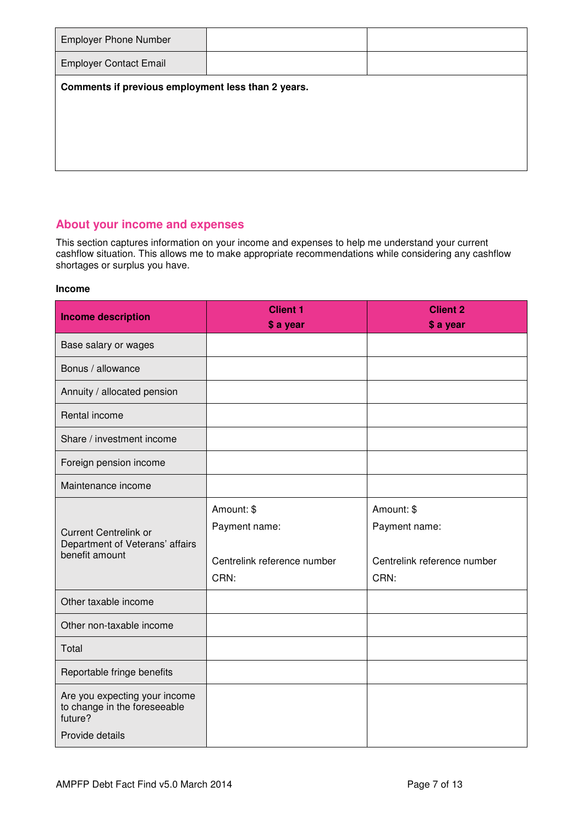| <b>Employer Phone Number</b>                       |  |
|----------------------------------------------------|--|
| <b>Employer Contact Email</b>                      |  |
| Comments if previous employment less than 2 years. |  |
|                                                    |  |
|                                                    |  |
|                                                    |  |

# **About your income and expenses**

This section captures information on your income and expenses to help me understand your current cashflow situation. This allows me to make appropriate recommendations while considering any cashflow shortages or surplus you have.

#### **Income**

| <b>Income description</b>                                                                   | <b>Client 1</b><br>\$ a year                                       | <b>Client 2</b><br>\$ a year                                       |
|---------------------------------------------------------------------------------------------|--------------------------------------------------------------------|--------------------------------------------------------------------|
| Base salary or wages                                                                        |                                                                    |                                                                    |
| Bonus / allowance                                                                           |                                                                    |                                                                    |
| Annuity / allocated pension                                                                 |                                                                    |                                                                    |
| Rental income                                                                               |                                                                    |                                                                    |
| Share / investment income                                                                   |                                                                    |                                                                    |
| Foreign pension income                                                                      |                                                                    |                                                                    |
| Maintenance income                                                                          |                                                                    |                                                                    |
| <b>Current Centrelink or</b><br>Department of Veterans' affairs<br>benefit amount           | Amount: \$<br>Payment name:<br>Centrelink reference number<br>CRN: | Amount: \$<br>Payment name:<br>Centrelink reference number<br>CRN: |
| Other taxable income                                                                        |                                                                    |                                                                    |
| Other non-taxable income                                                                    |                                                                    |                                                                    |
| Total                                                                                       |                                                                    |                                                                    |
| Reportable fringe benefits                                                                  |                                                                    |                                                                    |
| Are you expecting your income<br>to change in the foreseeable<br>future?<br>Provide details |                                                                    |                                                                    |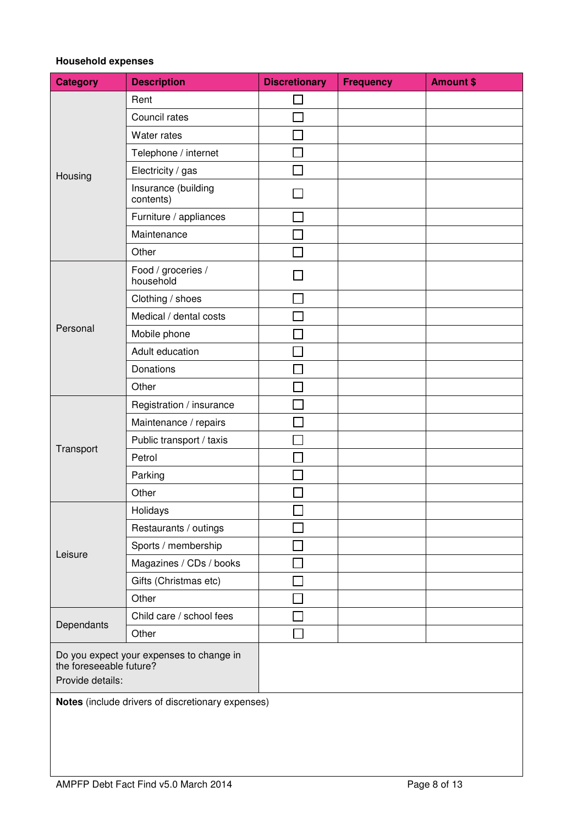## **Household expenses**

| <b>Category</b>                                                                         | <b>Description</b>               | <b>Discretionary</b> | <b>Frequency</b> | <b>Amount \$</b> |
|-----------------------------------------------------------------------------------------|----------------------------------|----------------------|------------------|------------------|
|                                                                                         | Rent                             |                      |                  |                  |
|                                                                                         | Council rates                    |                      |                  |                  |
|                                                                                         | Water rates                      |                      |                  |                  |
|                                                                                         | Telephone / internet             |                      |                  |                  |
| Housing                                                                                 | Electricity / gas                |                      |                  |                  |
|                                                                                         | Insurance (building<br>contents) |                      |                  |                  |
|                                                                                         | Furniture / appliances           |                      |                  |                  |
|                                                                                         | Maintenance                      |                      |                  |                  |
|                                                                                         | Other                            |                      |                  |                  |
|                                                                                         | Food / groceries /<br>household  |                      |                  |                  |
|                                                                                         | Clothing / shoes                 |                      |                  |                  |
|                                                                                         | Medical / dental costs           |                      |                  |                  |
| Personal                                                                                | Mobile phone                     |                      |                  |                  |
|                                                                                         | Adult education                  |                      |                  |                  |
|                                                                                         | Donations                        |                      |                  |                  |
|                                                                                         | Other                            |                      |                  |                  |
|                                                                                         | Registration / insurance         |                      |                  |                  |
|                                                                                         | Maintenance / repairs            |                      |                  |                  |
|                                                                                         | Public transport / taxis         |                      |                  |                  |
| Transport                                                                               | Petrol                           |                      |                  |                  |
|                                                                                         | Parking                          |                      |                  |                  |
|                                                                                         | Other                            |                      |                  |                  |
|                                                                                         | Holidays                         |                      |                  |                  |
|                                                                                         | Restaurants / outings            |                      |                  |                  |
| Leisure                                                                                 | Sports / membership              |                      |                  |                  |
|                                                                                         | Magazines / CDs / books          |                      |                  |                  |
|                                                                                         | Gifts (Christmas etc)            |                      |                  |                  |
|                                                                                         | Other                            |                      |                  |                  |
| Dependants                                                                              | Child care / school fees         |                      |                  |                  |
|                                                                                         | Other                            |                      |                  |                  |
| Do you expect your expenses to change in<br>the foreseeable future?<br>Provide details: |                                  |                      |                  |                  |
| Notes (include drivers of discretionary expenses)                                       |                                  |                      |                  |                  |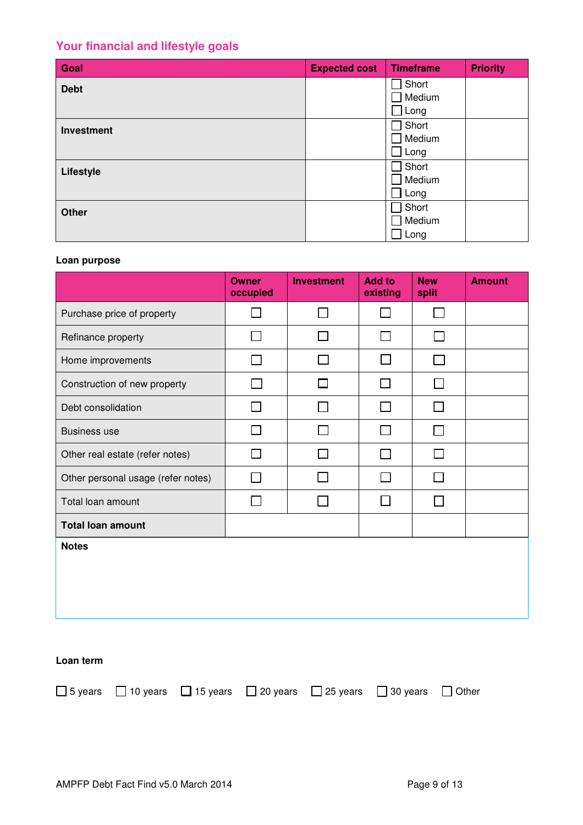# **Your financial and lifestyle goals**

| Goal              | <b>Expected cost</b> | <b>Timeframe</b>            | <b>Priority</b> |
|-------------------|----------------------|-----------------------------|-----------------|
| <b>Debt</b>       |                      | Short                       |                 |
|                   |                      | Medium                      |                 |
|                   |                      | $\mathsf{\mathsf{\_}}$ Long |                 |
| <b>Investment</b> |                      | Short                       |                 |
|                   |                      | Medium                      |                 |
|                   |                      | Long                        |                 |
| Lifestyle         |                      | Short                       |                 |
|                   |                      | Medium                      |                 |
|                   |                      | Long                        |                 |
| <b>Other</b>      |                      | Short                       |                 |
|                   |                      | Medium                      |                 |
|                   |                      | Long                        |                 |

## **Loan purpose**

|                                                                                                                                         | <b>Owner</b><br>occupied | <b>Investment</b> | <b>Add to</b><br>existing | <b>New</b><br>split | <b>Amount</b> |  |  |
|-----------------------------------------------------------------------------------------------------------------------------------------|--------------------------|-------------------|---------------------------|---------------------|---------------|--|--|
| Purchase price of property                                                                                                              | П                        | $\Box$            | <b>Tale</b>               | П                   |               |  |  |
| Refinance property                                                                                                                      | П                        | $\mathcal{L}$     | $\overline{a}$            | П                   |               |  |  |
| Home improvements                                                                                                                       | $\Box$                   |                   | П                         | $\mathbf{I}$        |               |  |  |
| Construction of new property                                                                                                            |                          | $\Box$            | $\blacksquare$            | П                   |               |  |  |
| Debt consolidation                                                                                                                      | $\Box$                   |                   |                           | П                   |               |  |  |
| <b>Business use</b>                                                                                                                     | $\mathsf{L}$             |                   | $\blacksquare$            | $\Box$              |               |  |  |
| Other real estate (refer notes)                                                                                                         | П                        |                   |                           | П                   |               |  |  |
| Other personal usage (refer notes)                                                                                                      | П                        |                   | $\blacksquare$            | П                   |               |  |  |
| Total loan amount                                                                                                                       | ⊓                        |                   | П                         | П                   |               |  |  |
| <b>Total loan amount</b>                                                                                                                |                          |                   |                           |                     |               |  |  |
| <b>Notes</b>                                                                                                                            |                          |                   |                           |                     |               |  |  |
| Loan term<br>$\Box$ 10 years<br>$\Box$ 15 years<br>20 years<br>5 years<br>□<br>□<br>25 years<br>30 years<br>Other<br>$\perp$<br>$\perp$ |                          |                   |                           |                     |               |  |  |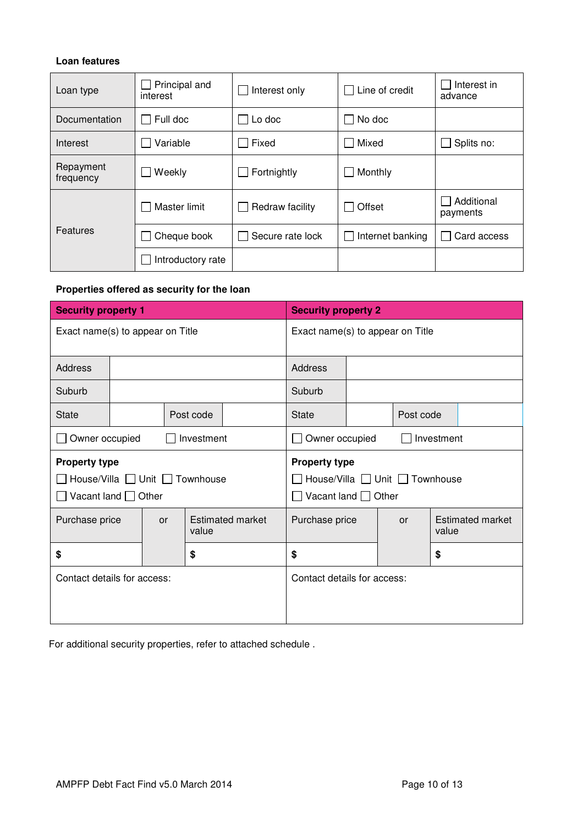## **Loan features**

| Loan type              | Principal and<br>interest | Interest only    | Line of credit   | Interest in<br>advance |
|------------------------|---------------------------|------------------|------------------|------------------------|
| Documentation          | Full doc                  | Lo doc           |                  |                        |
| Interest               | Variable                  | Fixed            | Mixed            | Splits no:             |
| Repayment<br>frequency | Weekly                    | Fortnightly      | Monthly          |                        |
|                        | Master limit              | Redraw facility  | Offset           | Additional<br>payments |
| Features               | Cheque book               | Secure rate lock | Internet banking | Card access            |
|                        | Introductory rate         |                  |                  |                        |

# **Properties offered as security for the loan**

| <b>Security property 1</b>                                                         |  |       |                                                  | <b>Security property 2</b>       |                                |           |           |                  |  |
|------------------------------------------------------------------------------------|--|-------|--------------------------------------------------|----------------------------------|--------------------------------|-----------|-----------|------------------|--|
| Exact name(s) to appear on Title                                                   |  |       |                                                  | Exact name(s) to appear on Title |                                |           |           |                  |  |
| <b>Address</b>                                                                     |  |       |                                                  |                                  | <b>Address</b>                 |           |           |                  |  |
| Suburb                                                                             |  |       |                                                  |                                  | Suburb                         |           |           |                  |  |
| <b>State</b>                                                                       |  |       | Post code                                        |                                  | <b>State</b>                   |           | Post code |                  |  |
| Owner occupied<br>Investment                                                       |  |       | Owner occupied<br>Investment                     |                                  |                                |           |           |                  |  |
| <b>Property type</b><br>House/Villa □ Unit □ Townhouse<br>Vacant land $\Box$ Other |  |       | <b>Property type</b><br>Vacant land $\Box$ Other |                                  | House/Villa □ Unit □ Townhouse |           |           |                  |  |
| Purchase price<br>or                                                               |  | value | <b>Estimated market</b>                          | Purchase price                   |                                | <b>or</b> | value     | Estimated market |  |
| \$<br>\$                                                                           |  |       | \$                                               |                                  |                                | \$        |           |                  |  |
| Contact details for access:                                                        |  |       |                                                  | Contact details for access:      |                                |           |           |                  |  |

For additional security properties, refer to attached schedule .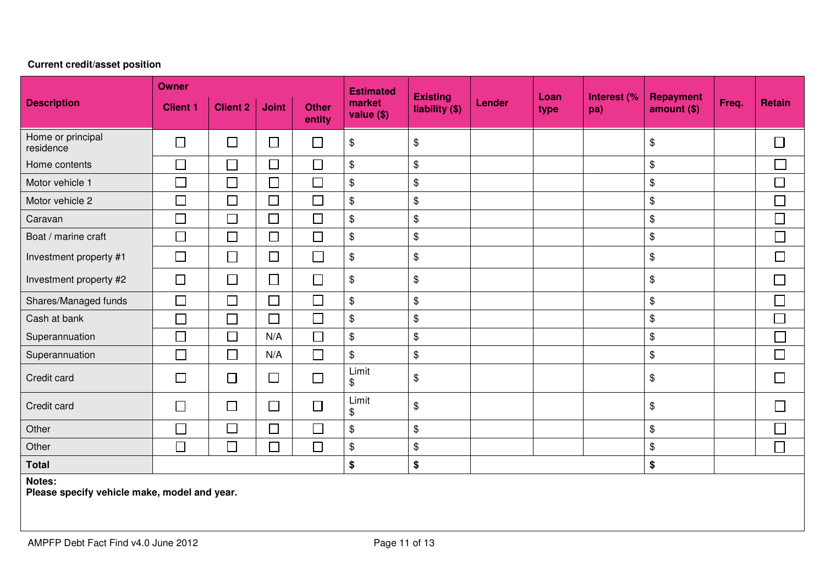#### **Owner Estimated COVID-100 Existing light (** Loan type Interest (% Repayment Req. Retain Client 1 Client 1 Client 2 Joint 1 Other market tiability (\$) Lender  $\left| \begin{array}{c|c} \text{Lender} & \text{Lender} & \text{Heper} \\ \text{Hender} & \text{the vector} & \text{the vector} \end{array} \right|$ **Description market** liability (\$) **value (\$) entity** Home or principal<br>residence  $\Box$  $\frac{1}{\sqrt{3}}$   $\frac{1}{\sqrt{3}}$   $\frac{1}{\sqrt{3}}$   $\frac{1}{\sqrt{3}}$   $\frac{1}{\sqrt{3}}$   $\frac{1}{\sqrt{3}}$   $\frac{1}{\sqrt{3}}$   $\frac{1}{\sqrt{3}}$   $\frac{1}{\sqrt{3}}$   $\frac{1}{\sqrt{3}}$   $\frac{1}{\sqrt{3}}$   $\frac{1}{\sqrt{3}}$   $\frac{1}{\sqrt{3}}$   $\frac{1}{\sqrt{3}}$   $\frac{1}{\sqrt{3}}$   $\frac{1}{\sqrt{3}}$  $\Box$ Home contents \$ \$ \$  $\Box$ Motor vehicle 1 \$ \$ \$  $\Box$ Motor vehicle 2 \$ \$ \$  $\Box$ Caravan \$ \$ \$ Boat / marine craft \$ \$ \$  $\Box$ Investment property #1 \$ \$ \$  $\Box$ Investment property #2 \$ \$ \$  $\Box$ Shares/Managed funds \$ \$ \$  $\Box$  $\Box$ Cash at bank \$ \$ \$  $\Box$ Superannuation N/A \$ \$ \$ Superannuation N/A \$ \$ \$  $\Box$ Credit card Limit \$ \$ \$  $\Box$ Credit card Limit \$ \$ \$  $\Box$ Г Other | |\_\_| |\_\_|\_\_| |\_\_| |\_\_\$ |\_\$ | | |\_\$  $\Box$ Other | |\_| | |\_| | | | \$ | \$ | | | \$ **Total \$ \$ \$ Notes: Please specify vehicle make, model and year.**

## **Current credit/asset position**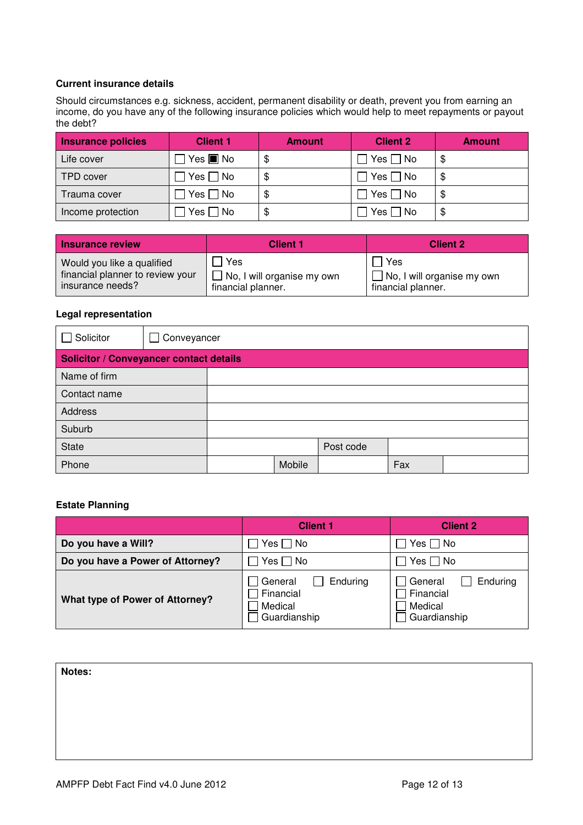## **Current insurance details**

Should circumstances e.g. sickness, accident, permanent disability or death, prevent you from earning an income, do you have any of the following insurance policies which would help to meet repayments or payout the debt?

| Insurance policies | <b>Client 1</b>                         | <b>Amount</b> | <b>Client 2</b> | <b>Amount</b> |
|--------------------|-----------------------------------------|---------------|-----------------|---------------|
| Life cover         | $\mathsf{Yes} \blacksquare \mathsf{No}$ | \$            | Yes $\Box$ No   | S             |
| TPD cover          | Yes $\Box$ No                           | \$            | Yes $\Box$ No   |               |
| Trauma cover       | l Yes □ No                              | \$            | Yes $\Box$ No   | \$.           |
| Income protection  | Yes $\Box$ No                           | \$            | $Yes \Box No$   | \$            |

| Insurance review                 | <b>Client 1</b>                                          | <b>Client 2</b>                   |
|----------------------------------|----------------------------------------------------------|-----------------------------------|
| Would you like a qualified       | Yes                                                      | l Yes                             |
| financial planner to review your | $\blacksquare$ $\blacksquare$ No, I will organise my own | $\Box$ No, I will organise my own |
| insurance needs?                 | financial planner.                                       | financial planner.                |

#### **Legal representation**

| Solicitor                                      | $\Box$ Conveyancer |  |        |           |     |  |
|------------------------------------------------|--------------------|--|--------|-----------|-----|--|
| <b>Solicitor / Conveyancer contact details</b> |                    |  |        |           |     |  |
| Name of firm                                   |                    |  |        |           |     |  |
| Contact name                                   |                    |  |        |           |     |  |
| <b>Address</b>                                 |                    |  |        |           |     |  |
| Suburb                                         |                    |  |        |           |     |  |
| <b>State</b>                                   |                    |  |        | Post code |     |  |
| Phone                                          |                    |  | Mobile |           | Fax |  |

#### **Estate Planning**

|                                  | <b>Client 1</b>                                             | <b>Client 2</b>                                               |  |
|----------------------------------|-------------------------------------------------------------|---------------------------------------------------------------|--|
| Do you have a Will?              | Yes     No                                                  | Yes $\Box$ No                                                 |  |
| Do you have a Power of Attorney? | $Yes \Box No$                                               | Yes $\Box$ No                                                 |  |
| What type of Power of Attorney?  | Enduring<br>General<br>Financial<br>Medical<br>Guardianship | Enduring<br>l General<br>Financial<br>Medical<br>Guardianship |  |

| Notes: |  |  |  |
|--------|--|--|--|
|        |  |  |  |
|        |  |  |  |
|        |  |  |  |